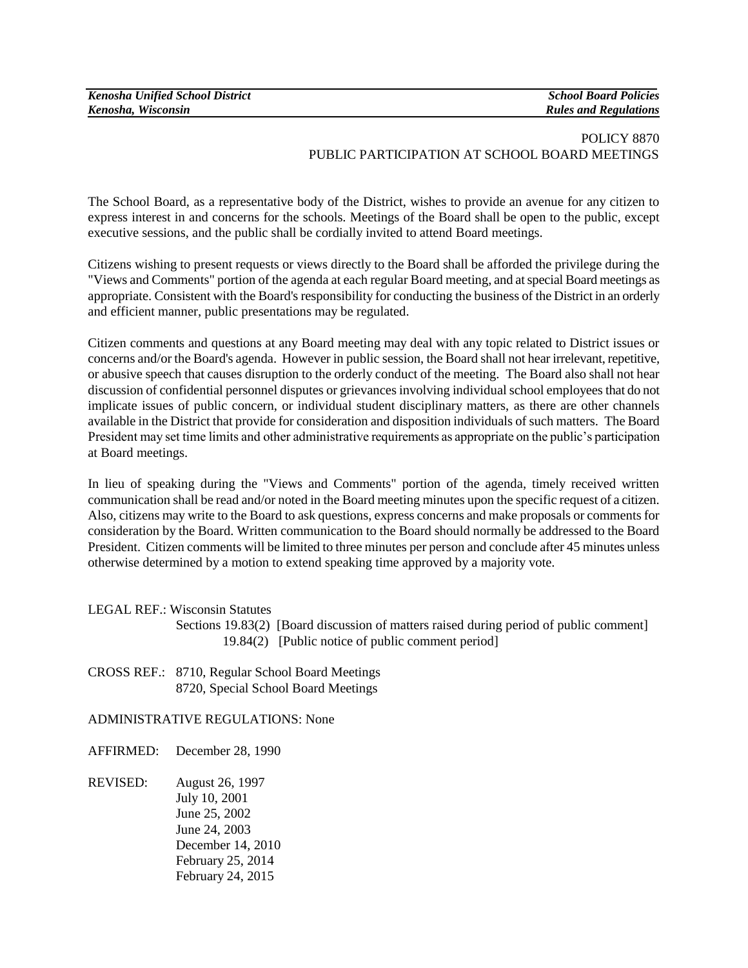| <b>Kenosha Unified School District</b> |
|----------------------------------------|
| Kenosha, Wisconsin                     |

*Kenosha Unified School District School Board Policies Kenosha, Wisconsin Rules and Regulations*

## POLICY 8870 PUBLIC PARTICIPATION AT SCHOOL BOARD MEETINGS

The School Board, as a representative body of the District, wishes to provide an avenue for any citizen to express interest in and concerns for the schools. Meetings of the Board shall be open to the public, except executive sessions, and the public shall be cordially invited to attend Board meetings.

Citizens wishing to present requests or views directly to the Board shall be afforded the privilege during the "Views and Comments" portion of the agenda at each regular Board meeting, and at special Board meetings as appropriate. Consistent with the Board's responsibility for conducting the business of the District in an orderly and efficient manner, public presentations may be regulated.

Citizen comments and questions at any Board meeting may deal with any topic related to District issues or concerns and/or the Board's agenda. However in public session, the Board shall not hear irrelevant, repetitive, or abusive speech that causes disruption to the orderly conduct of the meeting. The Board also shall not hear discussion of confidential personnel disputes or grievances involving individual school employees that do not implicate issues of public concern, or individual student disciplinary matters, as there are other channels available in the District that provide for consideration and disposition individuals of such matters. The Board President may set time limits and other administrative requirements as appropriate on the public's participation at Board meetings.

In lieu of speaking during the "Views and Comments" portion of the agenda, timely received written communication shall be read and/or noted in the Board meeting minutes upon the specific request of a citizen. Also, citizens may write to the Board to ask questions, express concerns and make proposals or comments for consideration by the Board. Written communication to the Board should normally be addressed to the Board President. Citizen comments will be limited to three minutes per person and conclude after 45 minutes unless otherwise determined by a motion to extend speaking time approved by a majority vote.

LEGAL REF.: Wisconsin Statutes

- Sections 19.83(2) [Board discussion of matters raised during period of public comment] 19.84(2) [Public notice of public comment period]
- CROSS REF.: 8710, Regular School Board Meetings 8720, Special School Board Meetings

ADMINISTRATIVE REGULATIONS: None

AFFIRMED: December 28, 1990

REVISED: August 26, 1997 July 10, 2001 June 25, 2002 June 24, 2003 December 14, 2010 February 25, 2014 February 24, 2015